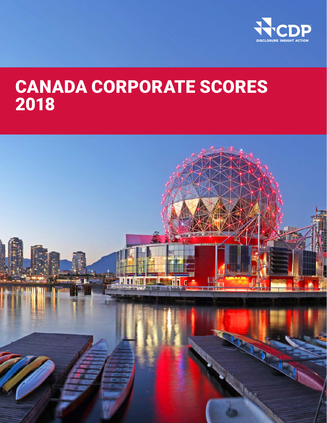

# CANADA CORPORATE SCORES 2018

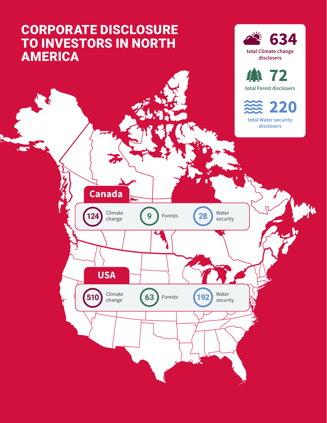# CORPORATE DISCLOSURE TO INVESTORS IN NORTH **AMERICA**

**. 740** 





220 total Water security disclosers

**USA Canada** Water security **124 Climate** (9) Forests (28 Climate change **<sup>510</sup> 192 63**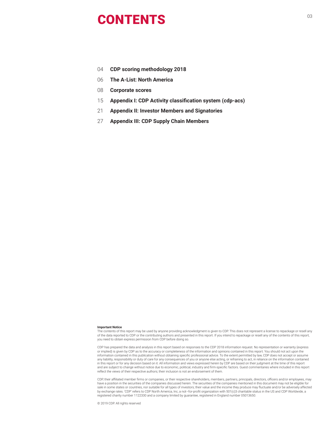# <sup>03</sup> CONTENTS

- 04 **CDP scoring methodology 2018**
- 06 **The A-List: North America**
- 08 **Corporate scores**
- 15 **Appendix I: CDP Activity classification system (cdp-acs)**
- 21 **Appendix II: Investor Members and Signatories**
- 27 **Appendix III: CDP Supply Chain Members**

#### **Important Notice**

The contents of this report may be used by anyone providing acknowledgment is given to CDP. This does not represent a license to repackage or resell any of the data reported to CDP or the contributing authors and presented in this report. If you intend to repackage or resell any of the contents of this report, you need to obtain express permission from CDP before doing so.

CDP has prepared the data and analysis in this report based on responses to the CDP 2018 information request. No representation or warranty (express or implied) is given by CDP as to the accuracy or completeness of the information and opinions contained in this report. You should not act upon the information contained in this publication without obtaining specific professional advice. To the extent permitted by law, CDP does not accept or assume any liability, responsibility or duty of care for any consequences of you or anyone else acting, or refraining to act, in reliance on the information contained in this report or for any decision based on it. All information and views expressed herein by CDP are based on their judgment at the time of this report and are subject to change without notice due to economic, political, industry and firm-specific factors. Guest commentaries where included in this report reflect the views of their respective authors; their inclusion is not an endorsement of them.

CDP, their affiliated member firms or companies, or their respective shareholders, members, partners, principals, directors, officers and/or employees, may have a position in the securities of the companies discussed herein. The securities of the companies mentioned in this document may not be eligible for sale in some states or countries, nor suitable for all types of investors; their value and the income they produce may fluctuate and/or be adversely affected by exchange rates. 'CDP' refers to CDP North America, Inc, a not–for-profit organization with 501(c)3 charitable status in the US and CDP Worldwide, a registered charity number 1122330 and a company limited by guarantee, registered in England number 05013650.

© 2019 CDP. All rights reserved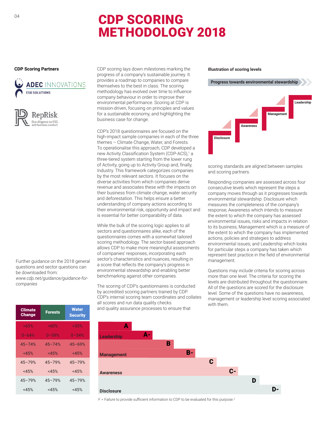# CDP SCORING METHODOLOGY 2018

#### **CDP Scoring Partners**





Further guidance on the 2018 general questions and sector questions can be downloaded from: *www.cdp.net/guidance/guidance-forcompanies*

| Climate<br><b>Change</b> | <b>Forests</b> | <b>Water</b><br><b>Security</b> |
|--------------------------|----------------|---------------------------------|
| >65%                     | >60%           | >55%                            |
| $0 - 64%$                | $0 - 59%$      | $0 - 54%$                       |
| $45 - 74%$               | $45 - 74%$     | $45 - 69%$                      |
| <45%                     | <45%           | <45%                            |
| $45 - 79%$               | $45 - 79%$     | $45 - 79%$                      |
| <45%                     | <45%           | <45%                            |
| $45 - 79%$               | $45 - 79%$     | $45 - 79%$                      |
| <45%                     | $<$ 45%        | $<$ 45%                         |

CDP scoring lays down milestones marking the progress of a company's sustainable journey. It provides a roadmap to companies to compare themselves to the best in class. The scoring methodology has evolved over time to influence company behaviour in order to improve their environmental performance. Scoring at CDP is mission-driven, focusing on principles and values for a sustainable economy, and highlighting the business case for change.

CDP's 2018 questionnaires are focused on the high-impact sample companies in each of the three themes – Climate Change, Water, and Forests. To operationalise this approach, CDP developed a new Activity Classification System (CDP-ACS),1 a three-tiered system starting from the lower rung of Activity, going up to Activity Group and, finally, Industry. This framework categorizes companies by the most relevant sectors. It focuses on the diverse activities from which companies derive revenue and associates these with the impacts on their business from climate change, water security and deforestation. This helps ensure a better understanding of company actions according to their environmental risk, opportunity and impact and is essential for better comparability of data.

While the bulk of the scoring logic applies to all sectors and questionnaires alike, each of the questionnaires comes with a somewhat tailored scoring methodology. The sector-based approach allows CDP to make more meaningful assessments of companies' responses, incorporating each sector's characteristics and nuances, resulting in a score that reflects the company's progress in environmental stewardship and enabling better benchmarking against other companies.

The scoring of CDP's questionnaires is conducted by accredited scoring partners trained by CDP. CDP's internal scoring team coordinates and collates all scores and run data quality checks and quality assurance processes to ensure that

#### **Illustration of scoring levels**



scoring standards are aligned between samples and scoring partners.

Responding companies are assessed across four consecutive levels which represent the steps a company moves through as it progresses towards environmental stewardship: Disclosure which measures the completeness of the company's response; Awareness which intends to measure the extent to which the company has assessed environmental issues, risks and impacts in relation to its business; Management which is a measure of the extent to which the company has implemented actions, policies and strategies to address environmental issues; and Leadership which looks for particular steps a company has taken which represent best practice in the field of environmental management.

Questions may include criteria for scoring across more than one level. The criteria for scoring the levels are distributed throughout the questionnaire. All of the questions are scored for the disclosure level. Some of the questions have no awareness, management or leadership level scoring associated with them.



F = Failure to provide sufficient information to CDP to be evaluated for this purpose.<sup>2</sup>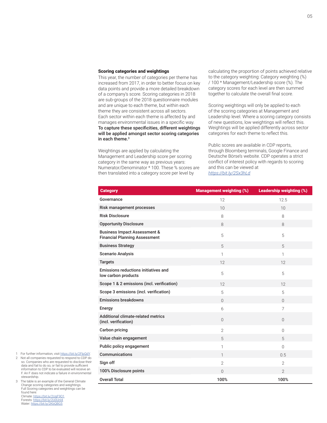### Scoring categories and weightings

This year, the number of categories per theme has increased from 2017, in order to better focus on key data points and provide a more detailed breakdown of a company's score. Scoring categories in 2018 are sub-groups of the 2018 questionnaire modules and are unique to each theme, but within each theme they are consistent across all sectors. Each sector within each theme is affected by and manages environmental issues in a specific way. To capture these specificities, different weightings will be applied amongst sector scoring categories in each theme.<sup>3</sup>

Weightings are applied by calculating the Management and Leadership score per scoring category in the same way as previous years: Numerator/Denominator \* 100. These % scores are then translated into a category score per level by

calculating the proportion of points achieved relative to the category weighting: Category weighting (%) / 100 \* Management/Leadership score (%). The category scores for each level are then summed together to calculate the overall final score.

Scoring weightings will only be applied to each of the scoring categories at Management and Leadership level. Where a scoring category consists of new questions, low weightings will reflect this. Weightings will be applied differently across sector categories for each theme to reflect this.

Public scores are available in CDP reports, through Bloomberg terminals, Google Finance and Deutsche Börse's website. CDP operates a strict conflict of interest policy with regards to scoring and this can be viewed at *<https://bit.ly/2Sx3hLd>*

| <b>Category</b>                                                                 | <b>Management weighting (%)</b> | Leadership weighting (%) |
|---------------------------------------------------------------------------------|---------------------------------|--------------------------|
| Governance                                                                      | 12                              | 12.5                     |
| Risk management processes                                                       | 10                              | 10                       |
| <b>Risk Disclosure</b>                                                          | 8                               | 8                        |
| <b>Opportunity Disclosure</b>                                                   | 8                               | 8                        |
| <b>Business Impact Assessment &amp;</b><br><b>Financial Planning Assessment</b> | 5                               | 5                        |
| <b>Business Strategy</b>                                                        | 5                               | 5                        |
| <b>Scenario Analysis</b>                                                        | $\mathbf{1}$                    | 1                        |
| <b>Targets</b>                                                                  | 12                              | 12                       |
| Emissions reductions initiatives and<br>low carbon products                     | 5                               | 5                        |
| Scope 1 & 2 emissions (incl. verification)                                      | 12                              | 12                       |
| Scope 3 emissions (incl. verification)                                          | 5                               | 5                        |
| <b>Emissions breakdowns</b>                                                     | $\Omega$                        | $\Omega$                 |
| Energy                                                                          | 6                               | $\overline{7}$           |
| Additional climate-related metrics<br>(incl. verification)                      | $\Omega$                        | $\Omega$                 |
| Carbon pricing                                                                  | $\overline{2}$                  | $\overline{0}$           |
| Value chain engagement                                                          | 5                               | 5                        |
| Public policy engagement                                                        | 1                               | $\Omega$                 |
| Communications                                                                  | $\mathbf{1}$                    | 0.5                      |
| Sign off                                                                        | $\overline{2}$                  | $\overline{2}$           |
| 100% Disclosure points                                                          | $\Omega$                        | $\overline{2}$           |
| <b>Overall Total</b>                                                            | 100%                            | 100%                     |

1 For further information, visit<https://bit.ly/2FlpQdY>.

2 Not all companies requested to respond to CDP do so. Companies who are requested to disclose their data and fail to do so, or fail to provide sufficient information to CDP to be evaluated will receive an F. An F does not indicate a failure in environmental stewardship.

3 The table is an example of the General Climate Change scoring categories and weightings. Full Scoring categories and weightings can be found here: Climate: <https://bit.ly/2UgF9O1>

Forests:<https://bit.ly/2U0Unl4> Water: https://bit.ly/2KbOBG5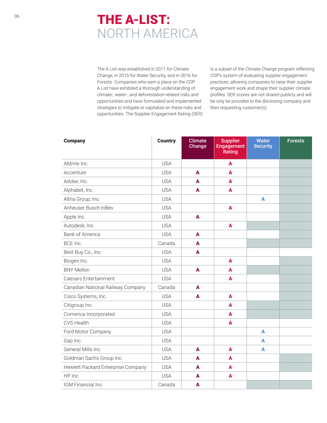# **THE A-LIST:** NORTH AMERICA

The A List was established in 2011 for Climate Change, in 2015 for Water Security, and in 2016 for Forests. Companies who earn a place on the CDP A List have exhibited a thorough understanding of climate-, water-, and deforestation-related risks and opportunities and have formulated and implemented strategies to mitigate or capitalize on these risks and opportunities. The Supplier Engagement Rating (SER) is a subset of the Climate Change program reflecting CDP's system of evaluating supplier engagement practices, allowing companies to raise their supplier engagement work and shape their supplier climate profiles. SER scores are not shared publicly and will be only be provided to the disclosing company and their requesting customer(s).

| <b>Company</b>                     | <b>Country</b> | <b>Climate</b><br>Change | <b>Supplier</b><br>Engagement<br>Rating | <b>Water</b><br><b>Security</b> | <b>Forests</b> |
|------------------------------------|----------------|--------------------------|-----------------------------------------|---------------------------------|----------------|
| AbbVie Inc                         | <b>USA</b>     |                          | A                                       |                                 |                |
| Accenture                          | <b>USA</b>     | A                        | A                                       |                                 |                |
| Adobe, Inc.                        | <b>USA</b>     | A                        | A                                       |                                 |                |
| Alphabet, Inc.                     | <b>USA</b>     | $\blacktriangle$         | $\mathbf{A}$                            |                                 |                |
| Altria Group, Inc.                 | <b>USA</b>     |                          |                                         | A                               |                |
| Anheuser Busch InBev               | <b>USA</b>     |                          | A                                       |                                 |                |
| Apple Inc.                         | <b>USA</b>     | A                        |                                         |                                 |                |
| Autodesk, Inc.                     | <b>USA</b>     |                          | $\blacktriangle$                        |                                 |                |
| <b>Bank of America</b>             | <b>USA</b>     | A                        |                                         |                                 |                |
| BCE Inc.                           | Canada         | A                        |                                         |                                 |                |
| Best Buy Co., Inc.                 | <b>USA</b>     | A                        |                                         |                                 |                |
| Biogen Inc.                        | <b>USA</b>     |                          | A                                       |                                 |                |
| <b>BNY Mellon</b>                  | <b>USA</b>     | A                        | A                                       |                                 |                |
| Caesars Entertainment              | <b>USA</b>     |                          | A                                       |                                 |                |
| Canadian National Railway Company  | Canada         | A                        |                                         |                                 |                |
| Cisco Systems, Inc.                | <b>USA</b>     | A                        | A                                       |                                 |                |
| Citigroup Inc.                     | <b>USA</b>     |                          | A                                       |                                 |                |
| Comerica Incorporated              | <b>USA</b>     |                          | A                                       |                                 |                |
| <b>CVS Health</b>                  | <b>USA</b>     |                          | A                                       |                                 |                |
| Ford Motor Company                 | <b>USA</b>     |                          |                                         | A                               |                |
| Gap Inc.                           | <b>USA</b>     |                          |                                         | A                               |                |
| General Mills Inc.                 | <b>USA</b>     | A                        | A                                       | $\mathbf{A}$                    |                |
| Goldman Sachs Group Inc.           | <b>USA</b>     | A                        | A                                       |                                 |                |
| Hewlett Packard Enterprise Company | <b>USA</b>     | A                        | A                                       |                                 |                |
| HP Inc                             | <b>USA</b>     | A                        | A                                       |                                 |                |
| IGM Financial Inc.                 | Canada         | A                        |                                         |                                 |                |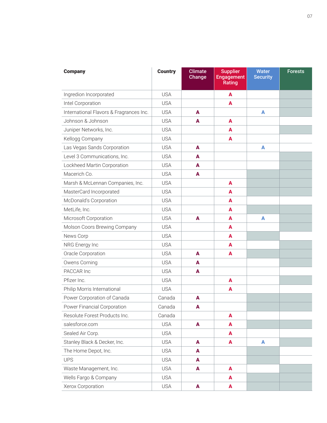| <b>Company</b>                          | <b>Country</b> | <b>Climate</b><br>Change | <b>Supplier</b><br><b>Engagement</b><br>Rating | <b>Water</b><br><b>Security</b> | <b>Forests</b> |
|-----------------------------------------|----------------|--------------------------|------------------------------------------------|---------------------------------|----------------|
| Ingredion Incorporated                  | <b>USA</b>     |                          | A                                              |                                 |                |
| Intel Corporation                       | <b>USA</b>     |                          | A                                              |                                 |                |
| International Flavors & Fragrances Inc. | <b>USA</b>     | A                        |                                                | A                               |                |
| Johnson & Johnson                       | <b>USA</b>     | A                        | A                                              |                                 |                |
| Juniper Networks, Inc.                  | <b>USA</b>     |                          | A                                              |                                 |                |
| Kellogg Company                         | <b>USA</b>     |                          | A                                              |                                 |                |
| Las Vegas Sands Corporation             | <b>USA</b>     | A                        |                                                | A                               |                |
| Level 3 Communications, Inc.            | <b>USA</b>     | A                        |                                                |                                 |                |
| Lockheed Martin Corporation             | <b>USA</b>     | A                        |                                                |                                 |                |
| Macerich Co.                            | <b>USA</b>     | A                        |                                                |                                 |                |
| Marsh & McLennan Companies, Inc.        | <b>USA</b>     |                          | A                                              |                                 |                |
| MasterCard Incorporated                 | <b>USA</b>     |                          | A                                              |                                 |                |
| McDonald's Corporation                  | <b>USA</b>     |                          | A                                              |                                 |                |
| MetLife, Inc.                           | <b>USA</b>     |                          | A                                              |                                 |                |
| Microsoft Corporation                   | <b>USA</b>     | A                        | A                                              | A                               |                |
| Molson Coors Brewing Company            | <b>USA</b>     |                          | A                                              |                                 |                |
| News Corp                               | <b>USA</b>     |                          | A                                              |                                 |                |
| NRG Energy Inc                          | <b>USA</b>     |                          | A                                              |                                 |                |
| Oracle Corporation                      | <b>USA</b>     | A                        | A                                              |                                 |                |
| Owens Corning                           | <b>USA</b>     | A                        |                                                |                                 |                |
| PACCAR Inc                              | <b>USA</b>     | A                        |                                                |                                 |                |
| Pfizer Inc.                             | <b>USA</b>     |                          | A                                              |                                 |                |
| Philip Morris International             | <b>USA</b>     |                          | A                                              |                                 |                |
| Power Corporation of Canada             | Canada         | A                        |                                                |                                 |                |
| Power Financial Corporation             | Canada         | A                        |                                                |                                 |                |
| Resolute Forest Products Inc.           | Canada         |                          | A                                              |                                 |                |
| salesforce.com                          | <b>USA</b>     | $\mathbf{A}$             | A                                              |                                 |                |
| Sealed Air Corp.                        | <b>USA</b>     |                          | A                                              |                                 |                |
| Stanley Black & Decker, Inc.            | <b>USA</b>     | A                        | A                                              | A                               |                |
| The Home Depot, Inc.                    | <b>USA</b>     | A                        |                                                |                                 |                |
| <b>UPS</b>                              | <b>USA</b>     | A                        |                                                |                                 |                |
| Waste Management, Inc.                  | <b>USA</b>     | A                        | A                                              |                                 |                |
| Wells Fargo & Company                   | <b>USA</b>     |                          | A                                              |                                 |                |
| Xerox Corporation                       | <b>USA</b>     | $\mathbf{A}$             | A                                              |                                 |                |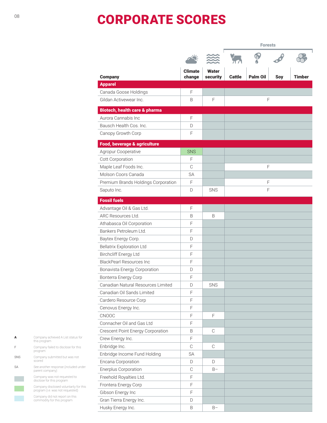# CORPORATE SCORES

|                                                                  |                          |                   | <b>Forests</b> |          |     |               |
|------------------------------------------------------------------|--------------------------|-------------------|----------------|----------|-----|---------------|
|                                                                  |                          |                   |                |          |     |               |
| <b>Company</b>                                                   | <b>Climate</b><br>change | Water<br>security | <b>Cattle</b>  | Palm Oil | Soy | <b>Timber</b> |
| <b>Apparel</b>                                                   |                          |                   |                |          |     |               |
| Canada Goose Holdings                                            | F                        |                   |                |          |     |               |
| Gildan Activewear Inc.                                           | B                        | F                 |                |          | F   |               |
|                                                                  |                          |                   |                |          |     |               |
| <b>Biotech, health care &amp; pharma</b><br>Aurora Cannabis Inc. | F                        |                   |                |          |     |               |
| Bausch Health Cos. Inc.                                          |                          |                   |                |          |     |               |
|                                                                  | D                        |                   |                |          |     |               |
| Canopy Growth Corp                                               | F                        |                   |                |          |     |               |
| Food, beverage & agriculture                                     |                          |                   |                |          |     |               |
| Agropur Cooperative                                              | <b>SNS</b>               |                   |                |          |     |               |
| Cott Corporation                                                 | F                        |                   |                |          |     |               |
| Maple Leaf Foods Inc.                                            | C                        |                   |                |          | F   |               |
| Molson Coors Canada                                              | <b>SA</b>                |                   |                |          |     |               |
| Premium Brands Holdings Corporation                              | F                        |                   |                | F        |     |               |
| Saputo Inc.                                                      | D                        | <b>SNS</b>        |                | F        |     |               |
| <b>Fossil fuels</b>                                              |                          |                   |                |          |     |               |
| Advantage Oil & Gas Ltd.                                         | F                        |                   |                |          |     |               |
| ARC Resources Ltd.                                               | B                        | B                 |                |          |     |               |
| Athabasca Oil Corporation                                        | F                        |                   |                |          |     |               |
| Bankers Petroleum Ltd.                                           | F                        |                   |                |          |     |               |
| Baytex Energy Corp.                                              | D                        |                   |                |          |     |               |
| <b>Bellatrix Exploration Ltd</b>                                 | F                        |                   |                |          |     |               |
| <b>Birchcliff Energy Ltd</b>                                     | F                        |                   |                |          |     |               |
| <b>BlackPearl Resources Inc</b>                                  | F                        |                   |                |          |     |               |
| Bonavista Energy Corporation                                     | D                        |                   |                |          |     |               |
| Bonterra Energy Corp                                             | F                        |                   |                |          |     |               |
| Canadian Natural Resources Limited                               | D                        | SNS               |                |          |     |               |
| Canadian Oil Sands Limited                                       | F                        |                   |                |          |     |               |
| Cardero Resource Corp                                            | F                        |                   |                |          |     |               |
| Cenovus Energy Inc.                                              | F                        |                   |                |          |     |               |
| CNOOC                                                            | F                        | F                 |                |          |     |               |
| Connacher Oil and Gas Ltd                                        | F                        |                   |                |          |     |               |
| Crescent Point Energy Corporation                                | B                        | C                 |                |          |     |               |
| Crew Energy Inc.                                                 | F                        |                   |                |          |     |               |
| Enbridge Inc.                                                    | $\mathbb C$              | C                 |                |          |     |               |
| Enbridge Income Fund Holding                                     | <b>SA</b>                |                   |                |          |     |               |
| Encana Corporation                                               | D                        | D                 |                |          |     |               |
| Enerplus Corporation                                             | C                        | $B -$             |                |          |     |               |
| Freehold Royalties Ltd.                                          | F                        |                   |                |          |     |               |
| Frontera Energy Corp                                             | F                        |                   |                |          |     |               |
| Gibson Energy Inc                                                | F                        |                   |                |          |     |               |
| Gran Tierra Energy Inc.                                          | D                        |                   |                |          |     |               |
| Husky Energy Inc.                                                | B                        | $B-$              |                |          |     |               |

| A          | Company achieved A List status for<br>this program                         |
|------------|----------------------------------------------------------------------------|
| F          | Company failed to disclose for this<br>program                             |
| <b>SNS</b> | Company submitted but was not<br>scored                                    |
| SA         | See another response (included under<br>parent company)                    |
|            | Company was not requested to<br>disclose for this program                  |
|            | Company disclosed voluntarily for this<br>program (i.e. was not requested) |

Company did not report on this commodity for this program

08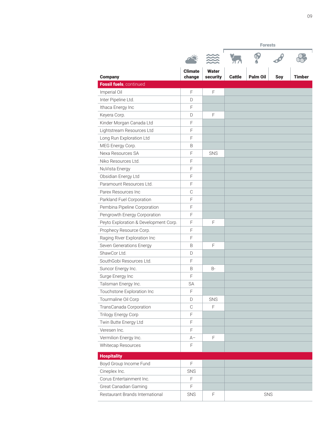| <b>Company</b>                        | <b>Climate</b><br>change | <b>Water</b><br>security | <b>Cattle</b> | <b>Palm Oil</b> | Soy | Timber |
|---------------------------------------|--------------------------|--------------------------|---------------|-----------------|-----|--------|
| Fossil fuels, continued               |                          |                          |               |                 |     |        |
| Imperial Oil                          | F                        | $\mathsf F$              |               |                 |     |        |
| Inter Pipeline Ltd.                   | D                        |                          |               |                 |     |        |
| Ithaca Energy Inc                     | F                        |                          |               |                 |     |        |
| Keyera Corp.                          | D                        | $\mathsf F$              |               |                 |     |        |
| Kinder Morgan Canada Ltd              | F                        |                          |               |                 |     |        |
| Lightstream Resources Ltd             | F                        |                          |               |                 |     |        |
| Long Run Exploration Ltd              | F                        |                          |               |                 |     |        |
| MEG Energy Corp.                      | B                        |                          |               |                 |     |        |
| Nexa Resources SA                     | F                        | SNS                      |               |                 |     |        |
| Niko Resources Ltd.                   | F                        |                          |               |                 |     |        |
| NuVista Energy                        | F                        |                          |               |                 |     |        |
| Obsidian Energy Ltd                   | F                        |                          |               |                 |     |        |
| Paramount Resources Ltd.              | F                        |                          |               |                 |     |        |
| Parex Resources Inc                   | $\mathcal{C}$            |                          |               |                 |     |        |
| Parkland Fuel Corporation             | F                        |                          |               |                 |     |        |
| Pembina Pipeline Corporation          | F                        |                          |               |                 |     |        |
| Pengrowth Energy Corporation          | F                        |                          |               |                 |     |        |
| Peyto Exploration & Development Corp. | F                        | F                        |               |                 |     |        |
| Prophecy Resource Corp.               | $\mathsf F$              |                          |               |                 |     |        |
| Raging River Exploration Inc          | F                        |                          |               |                 |     |        |
| Seven Generations Energy              | B                        | F                        |               |                 |     |        |
| ShawCor Ltd.                          | D                        |                          |               |                 |     |        |
| SouthGobi Resources Ltd.              | F                        |                          |               |                 |     |        |
| Suncor Energy Inc.                    | B                        | $B -$                    |               |                 |     |        |
| Surge Energy Inc                      | F                        |                          |               |                 |     |        |
| Talisman Energy Inc.                  | <b>SA</b>                |                          |               |                 |     |        |
| Touchstone Exploration Inc            | $\mathsf F$              |                          |               |                 |     |        |
| Tourmaline Oil Corp                   | D                        | SNS                      |               |                 |     |        |
| TransCanada Corporation               | $\mathcal{C}$            | F                        |               |                 |     |        |
| <b>Trilogy Energy Corp</b>            | F                        |                          |               |                 |     |        |
| Twin Butte Energy Ltd                 | F                        |                          |               |                 |     |        |
| Veresen Inc.                          | F                        |                          |               |                 |     |        |
| Vermilion Energy Inc.                 | A-                       | F                        |               |                 |     |        |
| Whitecap Resources                    | F                        |                          |               |                 |     |        |
| <b>Hospitality</b>                    |                          |                          |               |                 |     |        |
| Boyd Group Income Fund                | F                        |                          |               |                 |     |        |
| Cineplex Inc.                         | SNS                      |                          |               |                 |     |        |
| Corus Entertainment Inc.              | F                        |                          |               |                 |     |        |
| Great Canadian Gaming                 | F                        |                          |               |                 |     |        |
| Restaurant Brands International       | SNS                      | F                        |               | SNS             |     |        |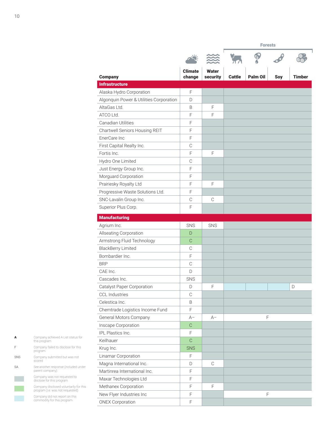f

| <b>Company</b>                          | <b>Climate</b><br>change | <b>Water</b><br>security | <b>Cattle</b> | <b>Palm Oil</b> | Soy | Timber |
|-----------------------------------------|--------------------------|--------------------------|---------------|-----------------|-----|--------|
| <b>Infrastructure</b>                   |                          |                          |               |                 |     |        |
| Alaska Hydro Corporation                | $\mathsf F$              |                          |               |                 |     |        |
| Algonquin Power & Utilities Corporation | D                        |                          |               |                 |     |        |
| AltaGas Ltd.                            | B                        | F                        |               |                 |     |        |
| ATCO Ltd.                               | F                        | F                        |               |                 |     |        |
| Canadian Utilities                      | $\mathsf F$              |                          |               |                 |     |        |
| Chartwell Seniors Housing REIT          | $\mathsf F$              |                          |               |                 |     |        |
| EnerCare Inc                            | F                        |                          |               |                 |     |        |
| First Capital Realty Inc.               | $\mathcal{C}$            |                          |               |                 |     |        |
| Fortis Inc.                             | F                        | F                        |               |                 |     |        |
| Hydro One Limited                       | $\mathbb C$              |                          |               |                 |     |        |
| Just Energy Group Inc.                  | $\mathsf F$              |                          |               |                 |     |        |
| Morguard Corporation                    | F                        |                          |               |                 |     |        |
| Prairiesky Royalty Ltd                  | F                        | F                        |               |                 |     |        |
| Progressive Waste Solutions Ltd.        | F                        |                          |               |                 |     |        |
| SNC-Lavalin Group Inc.                  | C                        | C                        |               |                 |     |        |
| Superior Plus Corp.                     | $\mathsf F$              |                          |               |                 |     |        |
| <b>Manufacturing</b>                    |                          |                          |               |                 |     |        |
| Agrium Inc.                             | SNS                      | SNS                      |               |                 |     |        |
| <b>Allseating Corporation</b>           | D                        |                          |               |                 |     |        |
| Armstrong Fluid Technology              | C                        |                          |               |                 |     |        |
| <b>BlackBerry Limited</b>               | C                        |                          |               |                 |     |        |
| Bombardier Inc.                         | F                        |                          |               |                 |     |        |
| <b>BRP</b>                              | $\mathcal{C}$            |                          |               |                 |     |        |
| CAE Inc.                                | D                        |                          |               |                 |     |        |
| Cascades Inc.                           | SNS                      |                          |               |                 |     |        |
| Catalyst Paper Corporation              | D                        | F                        |               |                 |     | D      |
| <b>CCL Industries</b>                   | $\mathsf{C}$             |                          |               |                 |     |        |
| Celestica Inc.                          | B                        |                          |               |                 |     |        |
| Chemtrade Logistics Income Fund         | F                        |                          |               |                 |     |        |
| General Motors Company                  | $A-$                     | $A-$                     |               | F               |     |        |
| Inscape Corporation                     | $\mathsf C$              |                          |               |                 |     |        |
| IPL Plastics Inc.                       | F                        |                          |               |                 |     |        |
| Keilhauer                               | $\mathcal{C}$            |                          |               |                 |     |        |
| Krug Inc.                               | <b>SNS</b>               |                          |               |                 |     |        |
| Linamar Corporation                     | F                        |                          |               |                 |     |        |
| Magna International Inc.                | D                        | C                        |               |                 |     |        |
| Martinrea International Inc.            | $\mathsf F$              |                          |               |                 |     |        |
| Maxar Technologies Ltd                  | F                        |                          |               |                 |     |        |
| Methanex Corporation                    | $\mathsf F$              | F                        |               |                 |     |        |
| New Flyer Industries Inc                | $\mathsf F$              |                          |               |                 | F   |        |
| <b>ONEX Corporation</b>                 | F                        |                          |               |                 |     |        |

| Δ         | Company achieved A List status for<br>this program                         |
|-----------|----------------------------------------------------------------------------|
|           | Company failed to disclose for this<br>program                             |
| SNS       | Company submitted but was not<br>scored                                    |
| <b>SA</b> | See another response (included under<br>parent company)                    |
|           | Company was not requested to<br>disclose for this program                  |
|           | Company disclosed voluntarily for this<br>program (i.e. was not requested) |

Company did not report on this commodity for this program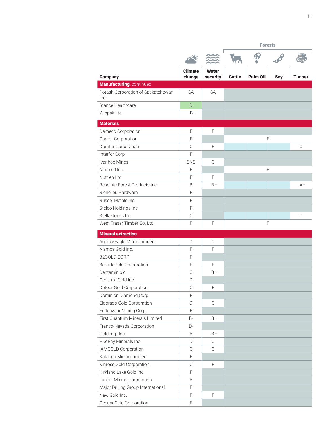|                                            |                          |                          | <b>Forests</b> |                 |     |               |
|--------------------------------------------|--------------------------|--------------------------|----------------|-----------------|-----|---------------|
|                                            |                          |                          |                |                 |     |               |
| <b>Company</b>                             | <b>Climate</b><br>change | <b>Water</b><br>security | <b>Cattle</b>  | <b>Palm Oil</b> | Soy | <b>Timber</b> |
| Manufacturing, continued                   |                          |                          |                |                 |     |               |
| Potash Corporation of Saskatchewan<br>Inc. | <b>SA</b>                | <b>SA</b>                |                |                 |     |               |
| Stance Healthcare                          | D                        |                          |                |                 |     |               |
| Winpak Ltd.                                | $B -$                    |                          |                |                 |     |               |
| <b>Materials</b>                           |                          |                          |                |                 |     |               |
| Cameco Corporation                         | F                        | F                        |                |                 |     |               |
| Canfor Corporation                         | F                        |                          |                |                 | F   |               |
| Domtar Corporation                         | $\mathcal{C}$            | $\mathsf F$              |                |                 |     | C             |
| Interfor Corp                              | F                        |                          |                |                 |     |               |
| Ivanhoe Mines                              | SNS                      | C                        |                |                 |     |               |
| Norbord Inc.                               | F                        |                          |                |                 | F   |               |
| Nutrien Ltd.                               | F                        | F                        |                |                 |     |               |
| Resolute Forest Products Inc.              | B                        | $B -$                    |                |                 |     | $A-$          |
| Richelieu Hardware                         | F                        |                          |                |                 |     |               |
| Russel Metals Inc.                         | F                        |                          |                |                 |     |               |
| Stelco Holdings Inc                        | F                        |                          |                |                 |     |               |
| Stella-Jones Inc                           | C                        |                          |                |                 |     | C             |
| West Fraser Timber Co. Ltd.                | $\mathsf F$              | F                        |                |                 | F   |               |
| <b>Mineral extraction</b>                  |                          |                          |                |                 |     |               |
| Agnico-Eagle Mines Limited                 | D                        | $\mathbb C$              |                |                 |     |               |
| Alamos Gold Inc.                           | F                        | F                        |                |                 |     |               |
| <b>B2GOLD CORP</b>                         | F                        |                          |                |                 |     |               |
| <b>Barrick Gold Corporation</b>            | F                        | F                        |                |                 |     |               |
| Centamin plc                               | C                        | $B -$                    |                |                 |     |               |
| Centerra Gold Inc.                         | D                        |                          |                |                 |     |               |
| Detour Gold Corporation                    | C                        | F                        |                |                 |     |               |
| Dominion Diamond Corp                      | $\mathsf F$              |                          |                |                 |     |               |
| Eldorado Gold Corporation                  | D                        | $\mathcal{C}$            |                |                 |     |               |
| <b>Endeavour Mining Corp</b>               | $\mathsf F$              |                          |                |                 |     |               |
| First Quantum Minerals Limited             | B-                       | $B -$                    |                |                 |     |               |
| Franco-Nevada Corporation                  | D-                       |                          |                |                 |     |               |
| Goldcorp Inc.                              | B                        | $B -$                    |                |                 |     |               |
| HudBay Minerals Inc.                       | D                        | C                        |                |                 |     |               |
| IAMGOLD Corporation                        | $\mathbb C$              | $\mathbb C$              |                |                 |     |               |
| Katanga Mining Limited                     | F                        |                          |                |                 |     |               |
| Kinross Gold Corporation                   | $\mathcal{C}$            | $\mathsf F$              |                |                 |     |               |
| Kirkland Lake Gold Inc.                    | $\mathsf F$              |                          |                |                 |     |               |
| Lundin Mining Corporation                  | B                        |                          |                |                 |     |               |
| Major Drilling Group International.        | $\mathsf F$              |                          |                |                 |     |               |
| New Gold Inc.                              | $\mathsf F$              | F                        |                |                 |     |               |
| OceanaGold Corporation                     | $\mathsf F$              |                          |                |                 |     |               |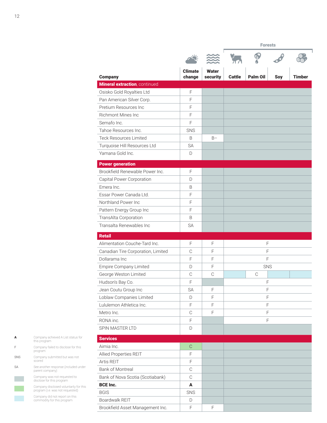| <b>Company</b>                       | <b>Climate</b><br>change | <b>Water</b><br>security | Cattle | <b>Palm Oil</b> | Soy | Timber |
|--------------------------------------|--------------------------|--------------------------|--------|-----------------|-----|--------|
| <b>Mineral extraction, continued</b> |                          |                          |        |                 |     |        |
| Osisko Gold Royalties Ltd            | F                        |                          |        |                 |     |        |
| Pan American Silver Corp.            | F                        |                          |        |                 |     |        |
| Pretium Resources Inc                | F                        |                          |        |                 |     |        |
| <b>Richmont Mines Inc</b>            | F                        |                          |        |                 |     |        |
| Semafo Inc.                          | F                        |                          |        |                 |     |        |
| Tahoe Resources Inc.                 | SNS                      |                          |        |                 |     |        |
| <b>Teck Resources Limited</b>        | B                        | $B -$                    |        |                 |     |        |
| Turquoise Hill Resources Ltd         | <b>SA</b>                |                          |        |                 |     |        |
| Yamana Gold Inc.                     | D                        |                          |        |                 |     |        |
| <b>Power generation</b>              |                          |                          |        |                 |     |        |
| Brookfield Renewable Power Inc.      | F                        |                          |        |                 |     |        |
| Capital Power Corporation            | D                        |                          |        |                 |     |        |
| Emera Inc.                           | B                        |                          |        |                 |     |        |
| Essar Power Canada Ltd.              | F                        |                          |        |                 |     |        |
| Northland Power Inc.                 | F                        |                          |        |                 |     |        |
| Pattern Energy Group Inc             | F                        |                          |        |                 |     |        |
| TransAlta Corporation                | B                        |                          |        |                 |     |        |
| Transalta Renewables Inc             | <b>SA</b>                |                          |        |                 |     |        |
| <b>Retail</b>                        |                          |                          |        |                 |     |        |
| Alimentation Couche-Tard Inc.        | F                        | F                        |        | F               |     |        |
| Canadian Tire Corporation, Limited   | $\mathcal{C}$            | F                        |        | F               |     |        |
| Dollarama Inc                        | F                        | F                        |        | F               |     |        |
| Empire Company Limited               | D                        | F                        |        | <b>SNS</b>      |     |        |
| George Weston Limited                | $\mathbb C$              | $\mathcal{C}$            |        | C               |     |        |
| Hudson's Bay Co.                     | F                        |                          |        | F               |     |        |
| Jean Coutu Group Inc                 | SA                       | F                        |        | F               |     |        |
| Loblaw Companies Limited             | D                        | F                        |        | F               |     |        |
| Lululemon Athletica Inc.             | F                        | F                        |        | $\mathsf F$     |     |        |
| Metro Inc.                           | $\mathbb C$              | F                        |        | F               |     |        |
| RONA inc.                            | F                        |                          |        | F               |     |        |
| SPIN MASTER LTD                      | D                        |                          |        |                 |     |        |
| <b>Services</b>                      |                          |                          |        |                 |     |        |
| Aimia Inc.                           | $\mathbb{C}$             |                          |        |                 |     |        |
| Allied Properties REIT               | F                        |                          |        |                 |     |        |
| Artis REIT                           | F                        |                          |        |                 |     |        |
| Bank of Montreal                     | C                        |                          |        |                 |     |        |
| Bank of Nova Scotia (Scotiabank)     | $\mathcal{C}$            |                          |        |                 |     |        |
| <b>BCE Inc.</b>                      | A                        |                          |        |                 |     |        |
| <b>BGIS</b>                          | SNS                      |                          |        |                 |     |        |
| Boardwalk REIT                       | D                        |                          |        |                 |     |        |
| Brookfield Asset Management Inc.     | F                        | F                        |        |                 |     |        |

Company failed to disclose for this program Company submitted but was not scored See another response (included under parent company) Company was not requested to disclose for this program F SNS SA

Company achieved A List status for this program

Company disclosed voluntarily for this program (i.e. was not requested) Company did not report on this commodity for this program

A

12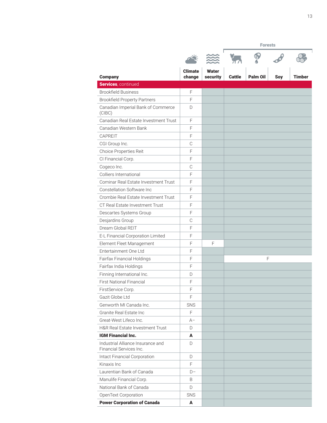|                                                              |                          |                          | <b>Forests</b> |                 |     |               |  |
|--------------------------------------------------------------|--------------------------|--------------------------|----------------|-----------------|-----|---------------|--|
|                                                              |                          |                          |                |                 |     |               |  |
| <b>Company</b>                                               | <b>Climate</b><br>change | <b>Water</b><br>security | <b>Cattle</b>  | <b>Palm Oil</b> | Soy | <b>Timber</b> |  |
| Services, continued                                          |                          |                          |                |                 |     |               |  |
| <b>Brookfield Business</b>                                   | F                        |                          |                |                 |     |               |  |
| <b>Brookfield Property Partners</b>                          | $\mathsf F$              |                          |                |                 |     |               |  |
| Canadian Imperial Bank of Commerce<br>(C(BC))                | D                        |                          |                |                 |     |               |  |
| Canadian Real Estate Investment Trust                        | $\mathsf F$              |                          |                |                 |     |               |  |
| Canadian Western Bank                                        | F                        |                          |                |                 |     |               |  |
| CAPREIT                                                      | F                        |                          |                |                 |     |               |  |
| CGI Group Inc.                                               | $\mathbb C$              |                          |                |                 |     |               |  |
| Choice Properties Reit                                       | $\mathsf F$              |                          |                |                 |     |               |  |
| CI Financial Corp.                                           | $\mathsf F$              |                          |                |                 |     |               |  |
| Cogeco Inc.                                                  | $\mathcal{C}$            |                          |                |                 |     |               |  |
| Colliers International                                       | F                        |                          |                |                 |     |               |  |
| Cominar Real Estate Investment Trust                         | F                        |                          |                |                 |     |               |  |
| Constellation Software Inc.                                  | F                        |                          |                |                 |     |               |  |
| Crombie Real Estate Investment Trust                         | $\mathsf F$              |                          |                |                 |     |               |  |
| CT Real Estate Investment Trust                              | F                        |                          |                |                 |     |               |  |
| Descartes Systems Group                                      | F                        |                          |                |                 |     |               |  |
| Desjardins Group                                             | $\mathcal{C}$            |                          |                |                 |     |               |  |
| Dream Global REIT                                            | $\mathsf F$              |                          |                |                 |     |               |  |
| E-L Financial Corporation Limited                            | $\mathsf F$              |                          |                |                 |     |               |  |
| Element Fleet Management                                     | F                        | F                        |                |                 |     |               |  |
| Entertainment One Ltd                                        | F                        |                          |                |                 |     |               |  |
| Fairfax Financial Holdings                                   | F                        |                          |                | F               |     |               |  |
| Fairfax India Holdings                                       | $\mathsf F$              |                          |                |                 |     |               |  |
| Finning International Inc.                                   | D                        |                          |                |                 |     |               |  |
| <b>First National Financial</b>                              | $\mathsf F$              |                          |                |                 |     |               |  |
| FirstService Corp.                                           | F                        |                          |                |                 |     |               |  |
| Gazit Globe Ltd                                              | F                        |                          |                |                 |     |               |  |
| Genworth MI Canada Inc.                                      | SNS                      |                          |                |                 |     |               |  |
| Granite Real Estate Inc                                      | F                        |                          |                |                 |     |               |  |
| Great-West Lifeco Inc.                                       | $A-$                     |                          |                |                 |     |               |  |
| H&R Real Estate Investment Trust                             | D                        |                          |                |                 |     |               |  |
| <b>IGM Financial Inc.</b>                                    | A                        |                          |                |                 |     |               |  |
| Industrial Alliance Insurance and<br>Financial Services Inc. | D                        |                          |                |                 |     |               |  |
| Intact Financial Corporation                                 | D                        |                          |                |                 |     |               |  |
| Kinaxis Inc                                                  | F                        |                          |                |                 |     |               |  |
| Laurentian Bank of Canada                                    | $D -$                    |                          |                |                 |     |               |  |
| Manulife Financial Corp.                                     | B                        |                          |                |                 |     |               |  |
| National Bank of Canada                                      | D                        |                          |                |                 |     |               |  |
| OpenText Corporation                                         | <b>SNS</b>               |                          |                |                 |     |               |  |
| <b>Power Corporation of Canada</b>                           | A                        |                          |                |                 |     |               |  |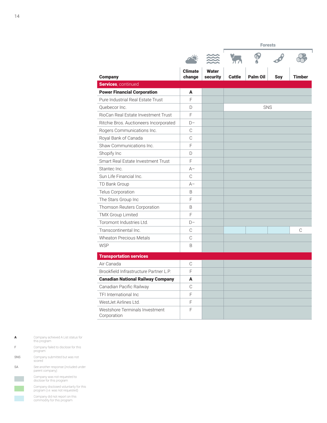f

| <b>Company</b>                                | <b>Climate</b><br>change | <b>Water</b><br>security | <b>Cattle</b> | <b>Palm Oil</b> | Soy | <b>Timber</b> |
|-----------------------------------------------|--------------------------|--------------------------|---------------|-----------------|-----|---------------|
| Services, continued                           |                          |                          |               |                 |     |               |
| <b>Power Financial Corporation</b>            | A                        |                          |               |                 |     |               |
| Pure Industrial Real Estate Trust             | E                        |                          |               |                 |     |               |
| Ouebecor Inc.                                 | D                        |                          |               | SNS             |     |               |
| RioCan Real Estate Investment Trust           | F                        |                          |               |                 |     |               |
| Ritchie Bros. Auctioneers Incorporated        | $D -$                    |                          |               |                 |     |               |
| Rogers Communications Inc.                    | C                        |                          |               |                 |     |               |
| Royal Bank of Canada                          | $\mathcal{C}$            |                          |               |                 |     |               |
| Shaw Communications Inc.                      | F                        |                          |               |                 |     |               |
| Shopify Inc                                   | D                        |                          |               |                 |     |               |
| Smart Real Estate Investment Trust            | F                        |                          |               |                 |     |               |
| Stantec Inc.                                  | $A -$                    |                          |               |                 |     |               |
| Sun Life Financial Inc.                       | C                        |                          |               |                 |     |               |
| TD Bank Group                                 | $A-$                     |                          |               |                 |     |               |
| Telus Corporation                             | B                        |                          |               |                 |     |               |
| The Stars Group Inc                           | F                        |                          |               |                 |     |               |
| Thomson Reuters Corporation                   | B                        |                          |               |                 |     |               |
| <b>TMX Group Limited</b>                      | F                        |                          |               |                 |     |               |
| Toromont Industries Ltd.                      | $D-$                     |                          |               |                 |     |               |
| Transcontinental Inc.                         | C                        |                          |               |                 |     | C             |
| <b>Wheaton Precious Metals</b>                | C                        |                          |               |                 |     |               |
| <b>WSP</b>                                    | B                        |                          |               |                 |     |               |
| <b>Transportation services</b>                |                          |                          |               |                 |     |               |
| Air Canada                                    | C                        |                          |               |                 |     |               |
| Brookfield Infrastructure Partner L.P.        | F                        |                          |               |                 |     |               |
| <b>Canadian National Railway Company</b>      | A                        |                          |               |                 |     |               |
| Canadian Pacific Railway                      | C                        |                          |               |                 |     |               |
| TFI International Inc.                        | F                        |                          |               |                 |     |               |
| WestJet Airlines Ltd.                         | F                        |                          |               |                 |     |               |
| Westshore Terminals Investment<br>Corporation | F                        |                          |               |                 |     |               |

|            | Company achieved A List status for<br>this program                         |
|------------|----------------------------------------------------------------------------|
|            | Company failed to disclose for this<br>program                             |
| <b>SNS</b> | Company submitted but was not<br>scored                                    |
| SA         | See another response (included under<br>parent company)                    |
|            | Company was not requested to<br>disclose for this program                  |
|            | Company disclosed voluntarily for this<br>program (i.e. was not requested) |
|            | Company did not report on this<br>commodity for this program               |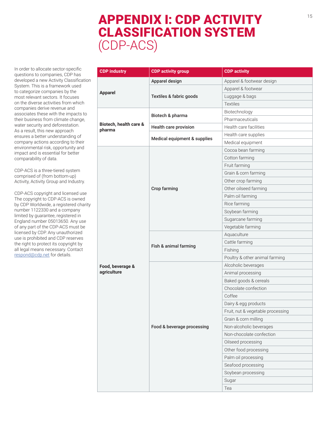# APPENDIX I: CDP ACTIVITY CLASSIFICATION SYSTEM (CDP-ACS)

In order to allocate sector-specific questions to companies, CDP has developed a new Activity Classification System. This is a framework used to categorize companies by the most relevant sectors. It focuses on the diverse activities from which companies derive revenue and associates these with the impacts to their business from climate change, water security and deforestation. As a result, this new approach ensures a better understanding of company actions according to their environmental risk, opportunity and impact and is essential for better comparability of data.

CDP-ACS is a three-tiered system comprised of (from bottom-up) Activity, Activity Group and Industry.

CDP-ACS copyright and licensed use The copyright to CDP-ACS is owned by CDP Worldwide, a registered charity number 1122330 and a company limited by guarantee, registered in England number 05013650. Any use of any part of the CDP-ACS must be licensed by CDP. Any unauthorized use is prohibited and CDP reserves the right to protect its copyright by all legal means necessary. Contact [respond@cdp.net](mailto:respond%40cdp.net?subject=) for details.

| <b>CDP industry</b>              | <b>CDP activity group</b>    | <b>CDP</b> activity               |
|----------------------------------|------------------------------|-----------------------------------|
| <b>Apparel</b>                   | Apparel design               | Apparel & footwear design         |
|                                  |                              | Apparel & footwear                |
|                                  | Textiles & fabric goods      | Luggage & bags                    |
|                                  |                              | <b>Textiles</b>                   |
|                                  |                              | Biotechnology                     |
|                                  | Biotech & pharma             | Pharmaceuticals                   |
| Biotech, health care &<br>pharma | Health care provision        | Health care facilities            |
|                                  | Medical equipment & supplies | Health care supplies              |
|                                  |                              | Medical equipment                 |
|                                  |                              | Cocoa bean farming                |
|                                  |                              | Cotton farming                    |
|                                  |                              | Fruit farming                     |
|                                  |                              | Grain & corn farming              |
|                                  |                              | Other crop farming                |
|                                  | Crop farming                 | Other oilseed farming             |
|                                  |                              | Palm oil farming                  |
|                                  |                              | Rice farming                      |
|                                  |                              | Soybean farming                   |
|                                  |                              | Sugarcane farming                 |
|                                  |                              | Vegetable farming                 |
|                                  |                              | Aquaculture                       |
|                                  | Fish & animal farming        | Cattle farming                    |
|                                  |                              | Fishing                           |
|                                  |                              | Poultry & other animal farming    |
| Food, beverage &                 |                              | Alcoholic beverages               |
| agriculture                      |                              | Animal processing                 |
|                                  |                              | Baked goods & cereals             |
|                                  | Food & beverage processing   | Chocolate confection              |
|                                  |                              | Coffee                            |
|                                  |                              | Dairy & egg products              |
|                                  |                              | Fruit, nut & vegetable processing |
|                                  |                              | Grain & corn milling              |
|                                  |                              | Non-alcoholic beverages           |
|                                  |                              | Non-chocolate confection          |
|                                  |                              | Oilseed processing                |
|                                  |                              | Other food processing             |
|                                  |                              | Palm oil processing               |
|                                  |                              | Seafood processing                |
|                                  |                              | Soybean processing                |
|                                  |                              | Sugar                             |
|                                  |                              | Tea                               |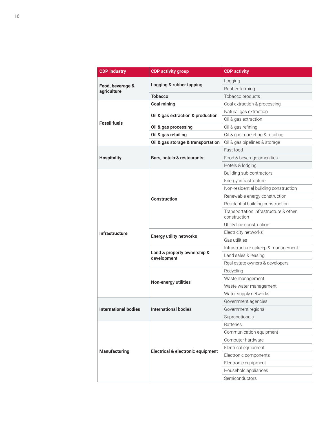| <b>CDP</b> industry             | <b>CDP activity group</b>                  | <b>CDP activity</b>                                   |  |
|---------------------------------|--------------------------------------------|-------------------------------------------------------|--|
| Food, beverage &<br>agriculture |                                            | Logging                                               |  |
|                                 | Logging & rubber tapping                   | Rubber farming                                        |  |
|                                 | <b>Tobacco</b>                             | Tobacco products                                      |  |
|                                 | Coal mining                                | Coal extraction & processing                          |  |
|                                 |                                            | Natural gas extraction                                |  |
|                                 | Oil & gas extraction & production          | Oil & gas extraction                                  |  |
| <b>Fossil fuels</b>             | Oil & gas processing                       | Oil & gas refining                                    |  |
|                                 | Oil & gas retailing                        | Oil & gas marketing & retailing                       |  |
|                                 | Oil & gas storage & transportation         | Oil & gas pipelines & storage                         |  |
|                                 |                                            | Fast food                                             |  |
| <b>Hospitality</b>              | Bars, hotels & restaurants                 | Food & beverage amenities                             |  |
|                                 |                                            | Hotels & lodging                                      |  |
|                                 |                                            | Building sub-contractors                              |  |
|                                 |                                            | Energy infrastructure                                 |  |
|                                 |                                            | Non-residential building construction                 |  |
|                                 | Construction                               | Renewable energy construction                         |  |
|                                 |                                            | Residential building construction                     |  |
|                                 |                                            | Transportation infrastructure & other<br>construction |  |
|                                 |                                            | Utility line construction                             |  |
| <b>Infrastructure</b>           | <b>Energy utility networks</b>             | Electricity networks                                  |  |
|                                 |                                            | Gas utilities                                         |  |
|                                 | Land & property ownership &<br>development | Infrastructure upkeep & management                    |  |
|                                 |                                            | Land sales & leasing                                  |  |
|                                 |                                            | Real estate owners & developers                       |  |
|                                 |                                            | Recycling                                             |  |
|                                 | Non-energy utilities                       | Waste management                                      |  |
|                                 |                                            | Waste water management                                |  |
|                                 |                                            | Water supply networks                                 |  |
|                                 |                                            | Government agencies                                   |  |
| <b>International bodies</b>     | <b>International bodies</b>                | Government regional                                   |  |
|                                 |                                            | Supranationals                                        |  |
| <b>Manufacturing</b>            |                                            | <b>Batteries</b>                                      |  |
|                                 | Electrical & electronic equipment          | Communication equipment                               |  |
|                                 |                                            | Computer hardware                                     |  |
|                                 |                                            | Electrical equipment                                  |  |
|                                 |                                            | Electronic components                                 |  |
|                                 |                                            | Electronic equipment                                  |  |
|                                 |                                            | Household appliances                                  |  |
|                                 |                                            | Semiconductors                                        |  |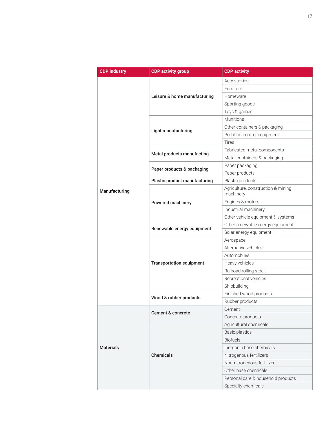| <b>CDP industry</b>  | <b>CDP activity group</b>       | <b>CDP activity</b>                             |
|----------------------|---------------------------------|-------------------------------------------------|
|                      |                                 | Accessories                                     |
|                      |                                 | Furniture                                       |
|                      | Leisure & home manufacturing    | Homeware                                        |
|                      |                                 | Sporting goods                                  |
|                      |                                 | Toys & games                                    |
|                      |                                 | Munitions                                       |
|                      | Light manufacturing             | Other containers & packaging                    |
|                      |                                 | Pollution control equipment                     |
|                      |                                 | <b>Tires</b>                                    |
|                      |                                 | Fabricated metal components                     |
|                      | Metal products manufacting      | Metal containers & packaging                    |
|                      |                                 | Paper packaging                                 |
|                      | Paper products & packaging      | Paper products                                  |
|                      | Plastic product manufacturing   | Plastic products                                |
| <b>Manufacturing</b> |                                 | Agriculture, construction & mining<br>machinery |
|                      | Powered machinery               | Engines & motors                                |
|                      |                                 | Industrial machinery                            |
|                      |                                 | Other vehicle equipment & systems               |
|                      | Renewable energy equipment      | Other renewable energy equipment                |
|                      |                                 | Solar energy equipment                          |
|                      | <b>Transportation equipment</b> | Aerospace                                       |
|                      |                                 | Alternative vehicles                            |
|                      |                                 | Automobiles                                     |
|                      |                                 | Heavy vehicles                                  |
|                      |                                 | Railroad rolling stock                          |
|                      |                                 | Recreational vehicles                           |
|                      |                                 | Shipbuilding                                    |
|                      | Wood & rubber products          | Finished wood products                          |
|                      |                                 | Rubber products                                 |
| <b>Materials</b>     | <b>Cement &amp; concrete</b>    | Cement                                          |
|                      |                                 | Concrete products                               |
|                      |                                 | Agricultural chemicals                          |
|                      |                                 | <b>Basic plastics</b>                           |
|                      |                                 | <b>Biofuels</b>                                 |
|                      | <b>Chemicals</b>                | Inorganic base chemicals                        |
|                      |                                 | Nitrogenous fertilizers                         |
|                      |                                 | Non-nitrogenous fertilizer                      |
|                      |                                 | Other base chemicals                            |
|                      |                                 | Personal care & household products              |
|                      |                                 | Specialty chemicals                             |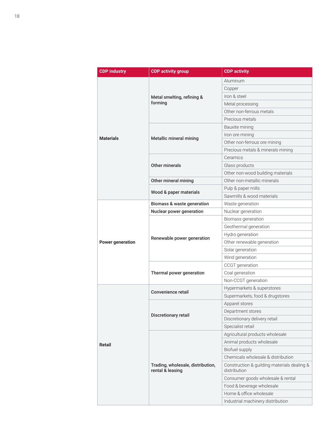| <b>CDP industry</b>     | <b>CDP activity group</b>                             | <b>CDP</b> activity                                         |  |
|-------------------------|-------------------------------------------------------|-------------------------------------------------------------|--|
|                         |                                                       | Aluminum                                                    |  |
|                         |                                                       | Copper                                                      |  |
|                         | Metal smelting, refining &<br>forming                 | Iron & steel                                                |  |
|                         |                                                       | Metal processing                                            |  |
|                         |                                                       | Other non-ferrous metals                                    |  |
|                         |                                                       | Precious metals                                             |  |
|                         | Metallic mineral mining                               | Bauxite mining                                              |  |
|                         |                                                       | Iron ore mining                                             |  |
| <b>Materials</b>        |                                                       | Other non-ferrous ore mining                                |  |
|                         |                                                       | Precious metals & minerals mining                           |  |
|                         |                                                       | Ceramics                                                    |  |
|                         | Other minerals                                        | Glass products                                              |  |
|                         |                                                       | Other non-wood building materials                           |  |
|                         | Other mineral mining                                  | Other non-metallic minerals                                 |  |
|                         |                                                       | Pulp & paper mills                                          |  |
|                         | Wood & paper materials                                | Sawmills & wood materials                                   |  |
|                         | Biomass & waste generation                            | Waste generation                                            |  |
|                         | Nuclear power generation                              | Nuclear generation                                          |  |
|                         |                                                       | Biomass generation                                          |  |
|                         | Renewable power generation                            | Geothermal generation                                       |  |
|                         |                                                       | Hydro generation                                            |  |
| <b>Power generation</b> |                                                       | Other renewable generation                                  |  |
|                         |                                                       | Solar generation                                            |  |
|                         |                                                       | Wind generation                                             |  |
|                         |                                                       | CCGT generation                                             |  |
|                         | Thermal power generation                              | Coal generation                                             |  |
|                         |                                                       | Non-CCGT generation                                         |  |
|                         | Convenience retail                                    | Hypermarkets & superstores                                  |  |
|                         |                                                       | Supermarkets, food & drugstores                             |  |
|                         |                                                       | Apparel stores                                              |  |
|                         | Discretionary retail                                  | Department stores                                           |  |
|                         |                                                       | Discretionary delivery retail                               |  |
|                         |                                                       | Specialist retail                                           |  |
| Retail                  | Trading, wholesale, distribution,<br>rental & leasing | Agricultural products wholesale                             |  |
|                         |                                                       | Animal products wholesale                                   |  |
|                         |                                                       | Biofuel supply                                              |  |
|                         |                                                       | Chemicals wholesale & distribution                          |  |
|                         |                                                       | Construction & guilding materials dealing &<br>distribution |  |
|                         |                                                       | Consumer goods wholesale & rental                           |  |
|                         |                                                       | Food & beverage wholesale                                   |  |
|                         |                                                       | Home & office wholesale                                     |  |
|                         |                                                       | Industrial machinery distribution                           |  |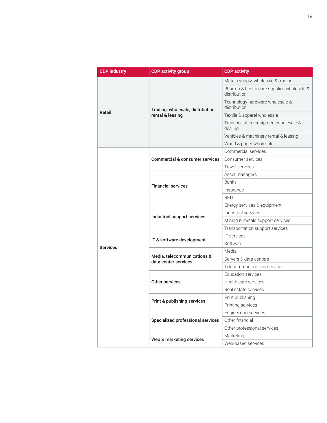| <b>CDP industry</b> | <b>CDP activity group</b>                             | <b>CDP</b> activity                                       |  |  |
|---------------------|-------------------------------------------------------|-----------------------------------------------------------|--|--|
| <b>Retail</b>       | Trading, wholesale, distribution,<br>rental & leasing | Metals supply, wholesale & trading                        |  |  |
|                     |                                                       | Pharma & health care supplies wholesale &<br>distribution |  |  |
|                     |                                                       | Technology hardware wholesale &<br>distribution           |  |  |
|                     |                                                       | Textile & apparel wholesale                               |  |  |
|                     |                                                       | Transportation equipment wholesale &<br>dealing           |  |  |
|                     |                                                       | Vehicles & machinery rental & leasing                     |  |  |
|                     |                                                       | Wood & paper wholesale                                    |  |  |
|                     |                                                       | Commercial services                                       |  |  |
|                     | <b>Commercial &amp; consumer services</b>             | Consumer services                                         |  |  |
|                     |                                                       | Travel services                                           |  |  |
|                     |                                                       | Asset managers                                            |  |  |
|                     | <b>Financial services</b>                             | <b>Banks</b>                                              |  |  |
|                     |                                                       | Insurance                                                 |  |  |
|                     |                                                       | <b>REIT</b>                                               |  |  |
|                     |                                                       | Energy services & equipment                               |  |  |
|                     | Industrial support services                           | Industrial services                                       |  |  |
|                     |                                                       | Mining & metals support services                          |  |  |
|                     |                                                       | Transportation support services                           |  |  |
|                     | IT & software development                             | IT services                                               |  |  |
| <b>Services</b>     |                                                       | Software                                                  |  |  |
|                     |                                                       | Media                                                     |  |  |
|                     | Media, telecommunications &<br>data center services   | Servers & data centers                                    |  |  |
|                     |                                                       | Telecommunications services                               |  |  |
|                     |                                                       | Education services                                        |  |  |
|                     | Other services                                        | Health care services                                      |  |  |
|                     |                                                       | Real estate services                                      |  |  |
|                     | Print & publishing services                           | Print publishing                                          |  |  |
|                     |                                                       | Printing services                                         |  |  |
|                     |                                                       | Engineering services                                      |  |  |
|                     | Specialized professional services                     | Other financial                                           |  |  |
|                     |                                                       | Other professional services                               |  |  |
|                     | Web & marketing services                              | Marketing                                                 |  |  |
|                     |                                                       | Web-based services                                        |  |  |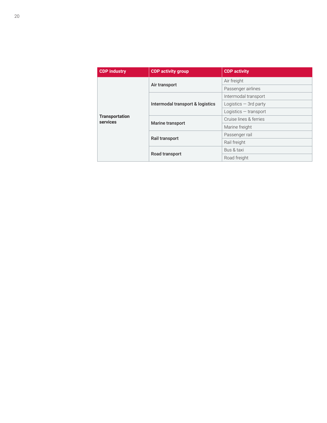| <b>CDP industry</b>               | <b>CDP activity group</b>        | <b>CDP activity</b>     |
|-----------------------------------|----------------------------------|-------------------------|
| <b>Transportation</b><br>services |                                  | Air freight             |
|                                   | Air transport                    | Passenger airlines      |
|                                   | Intermodal transport & logistics | Intermodal transport    |
|                                   |                                  | Logistics $-$ 3rd party |
|                                   |                                  | Logistics $-$ transport |
|                                   |                                  | Cruise lines & ferries  |
|                                   | Marine transport                 | Marine freight          |
|                                   | Rail transport                   | Passenger rail          |
|                                   |                                  | Rail freight            |
|                                   |                                  | Bus & taxi              |
|                                   | Road transport                   | Road freight            |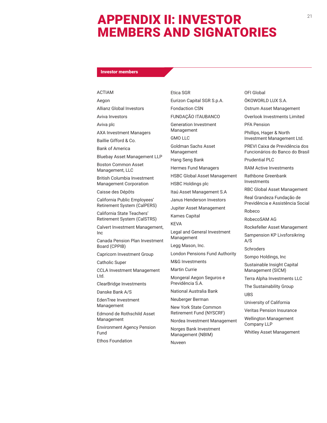# APPENDIX II: INVESTOR MEMBERS AND SIGNATORIES

### Investor members

### ACTIAM

Aegon Allianz Global Investors

Aviva Investors

Aviva plc

AXA Investment Managers

Baillie Gifford & Co. Bank of America

Bluebay Asset Management LLP

Boston Common Asset Management, LLC

British Columbia Investment Management Corporation

Caisse des Dépôts

California Public Employees' Retirement System (CalPERS)

California State Teachers' Retirement System (CalSTRS)

Calvert Investment Management, Inc

Canada Pension Plan Investment Board (CPPIB)

Capricorn Investment Group

Catholic Super

CCLA Investment Management Ltd.

ClearBridge Investments

Danske Bank A/S

EdenTree Investment Management

Edmond de Rothschild Asset Management

Environment Agency Pension Fund

Ethos Foundation

Etica SGR Eurizon Capital SGR S.p.A. Fondaction CSN FUNDAÇÃO ITAUBANCO Generation Investment Management GMO LLC Goldman Sachs Asset Management Hang Seng Bank Hermes Fund Managers HSBC Global Asset Management HSBC Holdings plc Itaú Asset Management S.A Janus Henderson Investors Jupiter Asset Management Kames Capital KEVA Legal and General Investment Management Legg Mason, Inc. London Pensions Fund Authority M&G Investments Martin Currie Mongeral Aegon Seguros e Previdência S.A. National Australia Bank Neuberger Berman

New York State Common Retirement Fund (NYSCRF)

Nordea Investment Management

Norges Bank Investment Management (NBIM) Nuveen

OFI Global ÖKOWORLD LUX S.A. Ostrum Asset Management PREVI Caixa de Previdência dos Prudential PLC RAM Active Investments Rathbone Greenbank RBC Global Asset Management Real Grandeza Fundação de Robeco Rockefeller Asset Management A/S

Management (SICM)

Terra Alpha Investments LLC

UBS

University of California

Veritas Pension Insurance

Wellington Management Company LLP

Whitley Asset Management

21

Overlook Investments Limited

PFA Pension

Phillips, Hager & North Investment Management Ltd.

Funcionários do Banco do Brasil

Investments

Previdência e Assistência Social

RobecoSAM AG

Sampension KP Livsforsikring

**Schroders** 

Sompo Holdings, Inc

Sustainable Insight Capital

The Sustainability Group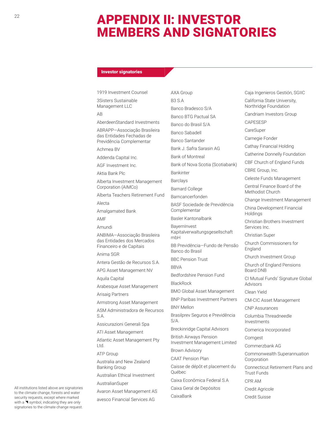# APPENDIX II: INVESTOR MEMBERS AND SIGNATORIES

# Investor signatories

1919 Investment Counsel

3Sisters Sustainable Management LLC

# AB

AberdeenStandard Investments

ABRAPP—Associação Brasileira das Entidades Fechadas de Previdência Complementar

Achmea BV

Addenda Capital Inc.

AGF Investment Inc.

Aktia Bank Plc

Alberta Investment Management Corporation (AIMCo)

Alberta Teachers Retirement Fund

Alecta

Amalgamated Bank

AMF

Amundi

ANBIMA—Associação Brasileira das Entidades dos Mercados Financeiro e de Capitais

Anima SGR

Antera Gestão de Recursos S.A.

APG Asset Management NV

Aquila Capital

Arabesque Asset Management

Arisaig Partners

Armstrong Asset Management

ASM Administradora de Recursos S.A.

Assicurazioni Generali Spa

ATI Asset Management

Atlantic Asset Management Pty Ltd.

ATP Group

Australia and New Zealand Banking Group

Australian Ethical Investment

AustralianSuper

Avaron Asset Management AS

CaixaBank

avesco Financial Services AG

AXA Group B3 S.A Banco Bradesco S/A Banco BTG Pactual SA Banco do Brasil S/A Banco Sabadell Banco Santander Bank J. Safra Sarasin AG Bank of Montreal Bank of Nova Scotia (Scotiabank) Bankinter Barclays Barnard College Barncancerfonden BASF Sociedade de Previdência Complementar Basler Kantonalbank BayernInvest Kapitalverwaltungsgesellschaft mbH BB Previdência—Fundo de Pensão Banco do Brasil BBC Pension Trust **BBVA** Bedfordshire Pension Fund BlackRock BMO Global Asset Management BNP Paribas Investment Partners BNY Mellon Brasilprev Seguros e Previdência S/A. Breckinridge Capital Advisors British Airways Pension Investment Management Limited Brown Advisory CAAT Pension Plan Caisse de dépôt et placement du Québec Caixa Econômica Federal S.A Caixa Geral de Depósitos

Caja Ingenieros Gestión, SGIIC California State University, Northridge Foundation Candriam Investors Group CAPESESP CareSuper Carnegie Fonder Cathay Financial Holding Catherine Donnelly Foundation CBF Church of England Funds CBRE Group, Inc. Celeste Funds Management Central Finance Board of the Methodist Church Change Investment Management China Development Financial Holdings Christian Brothers Investment Services Inc. Christian Super Church Commissioners for England Church Investment Group Church of England Pensions Board DNB CI Mutual Funds' Signature Global Advisors Clean Yield CM-CIC Asset Management CNP Assurances Columbia Threadneedle Investments Comerica Incorporated Comgest Commerzbank AG Commonwealth Superannuation Corporation Connecticut Retirement Plans and Trust Funds CPR AM Credit Agricole

Credit Suisse

All institutions listed above are signatories to the climate change, forests and water security requests, except where marked with a  $\blacktriangleleft$  symbol, indicating they are only signatories to the climate change request.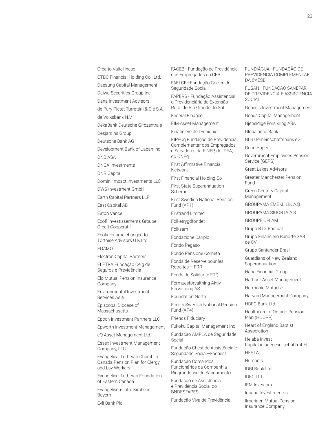Credito Valtellinese

CTBC Financial Holding Co., Ltd.

Daesung Capital Management

Daiwa Securities Group Inc.

Dana Investment Advisors

de Pury Pictet Turrettini & Cie S.A.

de Volksbank N.V.

DekaBank Deutsche Girozentrale

Desjardins Group

Deutsche Bank AG

Development Bank of Japan Inc.

DNB ASA

DNCA Investments

DNR Capital

Domini Impact Investments LLC

DWS Investment GmbH

Earth Capital Partners LLP

East Capital AB

Eaton Vance

Ecofi Investissements Groupe Credit Cooperatif

Ecofin—name changed to Tortoise Advisors U.K Ltd.

EGAMO

Electron Capital Partners

ELETRA Fundação Celg de Seguros e Previdência

Elo Mutual Pension Insurance Company

Environmental Investment Services Asia

Episcopal Diocese of Massachusetts

Epoch Investment Partners LLC

Epworth Investment Management

eQ Asset Management Ltd.

Essex Investment Management Company, LLC

Evangelical Lutheran Church in Canada Pension Plan for Clergy and Lay Workers

Evangelical Lutheran Foundation of Eastern Canada

Evangelisch-Luth. Kirche in Bayern

Evli Bank Plc

FACEB—Fundação de Previdência dos Empregados da CEB

FAELCE—Fundação Coelce de Seguridade Social

FAPERS - Fundação Assistencial e Previdenciária da Extensão Rural do Rio Grande do Sul

Federal Finance

FIM Asset Management

Financiere de l'Echiquier

FIPECq Fundação de Previdência Complementar dos Empregados e Servidores da FINEP, do IPEA, do CNPq

First Affirmative Financial Network

First Financial Holding Co

First State Superannuation Scheme

First Swedish National Pension Fund (AP1)

Firstrand Limited

Folketrygdfondet

Folksam

Fondazione Cariplo

Fondo Pegaso

Fondo Pensione Cometa Fonds de Réserve pour les

Retraites – FRR

Fonds de Solidarite FTQ

Formuesforvaltning Aktiv Forvaltning AS

Foundation North

Fourth Swedish National Pension Fund (AP4)

Friends Fiduciary

Fukoku Capital Management Inc

Fundação AMPLA de Seguridade Social

Fundação Chesf de Assistência e Seguridade Social—Fachesf

Fundação Corsandos Funcionários da Companhia Riograndense de Saneamento

Fundação de Assistência e Previdência Social do

BNDESFAPES

Fundação Viva de Previdência

FUNDIÁGUA—FUNDAÇÃO DE PREVIDENCIA COMPLEMENTAR DA CAESB

FUSAN—FUNDAÇÃO SANEPAR DE PREVIDENCIA E ASSISTENCIA SOCIAL

Genesis Investment Management

Genus Capital Management

Gjensidige Forsikring ASA

Globalance Bank

GLS Gemeinschaftsbank eG

Good Super

Government Employees Pension Service (GEPS)

Great Lakes Advisors

Greater Manchester Pension Fund

Green Century Capital Management

GROUPAMA EMEKLİLİK A.Ş.

GROUPAMA SİGORTA A.Ş.

GROUPE OFI AM

Grupo BTG Pactual

Grupo Financiero Banorte SAB de CV

Grupo Santander Brasil

Guardians of New Zealand Superannuation

Hana Financial Group

Harbour Asset Management

Harmonie Mutuelle

Harvard Management Company

HDFC Bank Ltd.

Healthcare of Ontario Pension Plan (HOOPP)

Heart of England Baptist Association

Helaba Invest Kapitalanlagegesellschaft mbH HESTA

Humanis

IDBI Bank Ltd.

IDFC Ltd.

IFM Investors

Iguana Investimentos

Ilmarinen Mutual Pension Insurance Company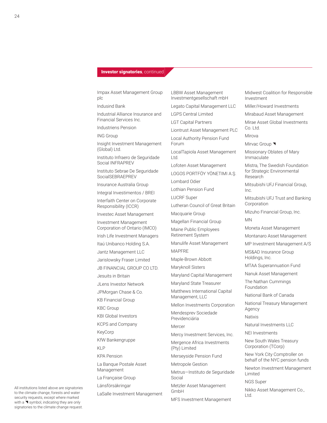### **Investor signatories**, continued

Impax Asset Management Group plc

Indusind Bank

Industrial Alliance Insurance and Financial Services Inc.

Industriens Pension

ING Group

Insight Investment Management (Global) Ltd.

Instituto Infraero de Seguridade Social INFRAPREV

Instituto Sebrae De Seguridade **SocialSEBRAEPREV** 

Insurance Australia Group

Integral Investimentos / BREI

Interfaith Center on Corporate Responsibility (ICCR)

Investec Asset Management

Investment Management Corporation of Ontario (IMCO)

Irish Life Investment Managers

Itaú Unibanco Holding S.A.

Jantz Management LLC

Jarislowsky Fraser Limited

JB FINANCIAL GROUP CO LTD.

Jesuits in Britain

JLens Investor Network

JPMorgan Chase & Co.

KB Financial Group

KBC Group

KBI Global Investors

KCPS and Company

KeyCorp

KfW Bankengruppe

KLP

KPA Pension

La Banque Postale Asset Management

La Française Group

Länsförsäkringar

LaSalle Investment Management

LBBW Asset Management Investmentgesellschaft mbH

Legato Capital Management LLC

LGPS Central Limited

LGT Capital Partners

Liontrust Asset Management PLC

Local Authority Pension Fund Forum

LocalTapiola Asset Management Ltd.

Lofoten Asset Management

LOGOS PORTFÖY YÖNETIMI A.Ş.

Lombard Odier

Lothian Pension Fund

LUCRF Super

Lutheran Council of Great Britain

Macquarie Group

Magellan Financial Group

Maine Public Employees Retirement System

Manulife Asset Management MAPFRE

Maple-Brown Abbott

Maryknoll Sisters

Maryland Capital Management

Maryland State Treasurer

Matthews International Capital Management, LLC

Mellon Investments Corporation

Mendesprev Sociedade Previdenciária

**Mercer** 

Mercy Investment Services, Inc.

Mergence Africa Investments

(Pty) Limited

Merseyside Pension Fund

Metropole Gestion

Metrus—Instituto de Seguridade Social

Metzler Asset Management GmbH

MFS Investment Management

Midwest Coalition for Responsible Investment

Miller/Howard Investments

Mirabaud Asset Management

Mirae Asset Global Investments Co. Ltd.

Mirova

Mirvac Group

Missionary Oblates of Mary Immaculate

Mistra, The Swedish Foundation for Strategic Environmental Research

Mitsubishi UFJ Financial Group, Inc.

Mitsubishi UFJ Trust and Banking Corporation

Mizuho Financial Group, Inc.

MN

Moneta Asset Management

Montanaro Asset Management

MP Investment Management A/S

MS&AD Insurance Group Holdings, Inc.

MTAA Superannuation Fund

Nanuk Asset Management

The Nathan Cummings Foundation

National Bank of Canada

National Treasury Management Agency

Natixis

Natural Investments LLC

NEI Investments

New South Wales Treasury Corporation (TCorp)

New York City Comptroller on behalf of the NYC pension funds

Newton Investment Management Limited

NGS Super

Nikko Asset Management Co., Ltd.

All institutions listed above are signatories to the climate change, forests and water security requests, except where marked with a  $\blacktriangleleft$  symbol, indicating they are only signatories to the climate change request.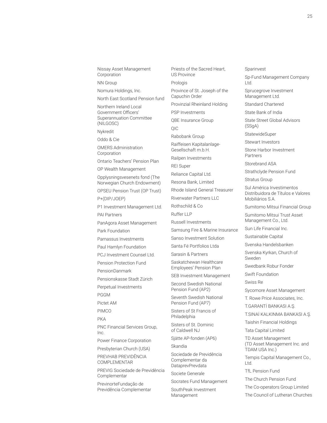25

Nissay Asset Management **Corporation** 

NN Group

Nomura Holdings, Inc.

North East Scotland Pension fund

Northern Ireland Local Government Officers' Superannuation Committee (NILGOSC)

Nykredit

Oddo & Cie

OMERS Administration Corporation

Ontario Teachers' Pension Plan

OP Wealth Management

Opplysningsvesenets fond (The Norwegian Church Endowment)

OPSEU Pension Trust (OP Trust)

P+(DIP/JOEP)

P1 Investment Management Ltd. PAI Partners

PanAgora Asset Management

Park Foundation

Parnassus Investments

Paul Hamlyn Foundation

PCJ Investment Counsel Ltd.

Pension Protection Fund PensionDanmark

Pensionskasse Stadt Zürich

Perpetual Investments

PGGM

Pictet AM

PIMCO

PKA

PNC Financial Services Group, Inc.

Power Finance Corporation

Presbyterian Church (USA)

PREVHAB PREVIDÊNCIA COMPLEMENTAR

PREVIG Sociedade de Previdência Complementar

PrevinorteFundação de Previdência Complementar Priests of the Sacred Heart, US Province Prologis

Province of St. Joseph of the Capuchin Order

Provinzial Rheinland Holding PSP Investments

QBE Insurance Group

QIC

Rabobank Group

Raiffeisen Kapitalanlage-Gesellschaft m.b.H.

Railpen Investments

REI Super

Reliance Capital Ltd.

Resona Bank, Limited

Rhode Island General Treasurer

Riverwater Partners LLC

Rothschild & Co

Ruffer LLP

Russell Investments

Samsung Fire & Marine Insurance

Sanso Investment Solution

Santa Fé Portfolios Ltda

Sarasin & Partners

Saskatchewan Healthcare Employees' Pension Plan

SEB Investment Management

Second Swedish National Pension Fund (AP2)

Seventh Swedish National Pension Fund (AP7)

Sisters of St Francis of Philadelphia

Sisters of St. Dominic of Caldwell NJ

Sjätte AP-fonden (AP6)

Skandia

Sociedade de Previdência Complementar da DataprevPrevdata

Societe Generale

Socrates Fund Management

SouthPeak Investment Management

Sparinvest

Sp-Fund Management Company Ltd.

Sprucegrove Investment Management Ltd.

Standard Chartered

State Bank of India

State Street Global Advisors (SSgA)

**StatewideSuper** 

Stewart Investors

Stone Harbor Investment Partners

Storebrand ASA

Strathclyde Pension Fund

Stratus Group

Sul América Investimentos Distribuidora de Títulos e Valores Mobiliários S.A.

Sumitomo Mitsui Financial Group

Sumitomo Mitsui Trust Asset Management Co., Ltd.

Sun Life Financial Inc.

Sustainable Capital

Svenska Handelsbanken

Svenska Kyrkan, Church of Sweden

Swedbank Robur Fonder

Swift Foundation

Swiss Re

Sycomore Asset Management

T. Rowe Price Associates, Inc.

T.GARANTİ BANKASI A.Ş.

T.SINAİ KALKINMA BANKASI A.Ş.

Taishin Financial Holdings

Tata Capital Limited

TD Asset Management (TD Asset Management Inc. and TDAM USA Inc.)

Tempis Capital Management Co., Ltd.

TfL Pension Fund

The Church Pension Fund

The Co-operators Group Limited

The Council of Lutheran Churches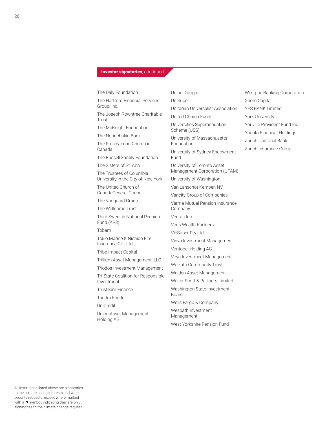# **Investor signatories**, continued

Group, Inc.

Trust

Canada

Fund (AP3) Tobam

Investment

UniCredit

The Daly Foundation The Hartford Financial Services The Joseph Rowntree Charitable The McKnight Foundation The Norinchukin Bank The Presbyterian Church in The Russell Family Foundation The Sisters of St. Ann The Trustees of Columbia University in the City of New York The United Church of CanadaGeneral Council The Vanguard Group The Wellcome Trust Third Swedish National Pension Tokio Marine & Nichido Fire Insurance Co., Ltd. Tribe Impact Capital Trillium Asset Management, LLC Triodos Investment Management Tri-State Coalition for Responsible Trusteam Finance Tundra Fonder Union Asset Management Holding AG Unipol Gruppo UniSuper Scheme (USS) Foundation Fund Company Ventas Inc Board Management

Unitarian Universalist Association United Church Funds Universities Superannuation University of Massachusetts University of Sydney Endowment University of Toronto Asset Management Corporation (UTAM) University of Washington Van Lanschot Kempen NV Vancity Group of Companies Varma Mutual Pension Insurance Veris Wealth Partners VicSuper Pty Ltd. Vinva Investment Management Vontobel Holding AG Voya Investment Management Waikato Community Trust Walden Asset Management Walter Scott & Partners Limited Washington State Investment Wells Fargo & Company Wespath Investment West Yorkshire Pension Fund

Westpac Banking Corporation Xoom Capital YES BANK Limited York University Youville Provident Fund Inc. Yuanta Financial Holdings Zurich Cantonal Bank Zurich Insurance Group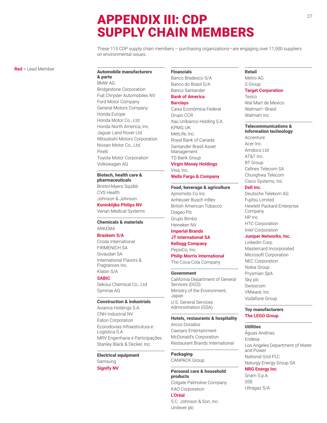# <sup>27</sup> APPENDIX III: CDP SUPPLY CHAIN MEMBERS

These 115 CDP supply chain members – purchasing organizations—are engaging over 11,500 suppliers on environmental issues.

**Red** = Lead Member

## Automobile manufacturers

& parts BMW AG Bridgestone Corporation Fiat Chrysler Automobiles NV Ford Motor Company General Motors Company Honda Europe Honda Motor Co., Ltd. Honda North America, Inc. Jaguar Land Rover Ltd Mitsubishi Motors Corporation Nissan Motor Co., Ltd. Pirelli Toyota Motor Corporation Volkswagen AG

# Biotech, health care &

pharmaceuticals Bristol-Myers Squibb CVS Health Johnson & Johnson **Koninklijke Philips NV**

Varian Medical Systems

# Chemicals & materials ARKEMA

### **Braskem S/A**

Croda International FIRMENICH SA Givaudan SA International Flavors & Fragrances Inc. Klabin S/A

#### **SABIC**

Sekisui Chemical Co., Ltd. Symrise AG

### Construction & industrials

Avianca Holdings S.A. CNH Industrial NV Eaton Corporation Ecorodovias Infraestrutura e Logística S.A MRV Engenharia e Participações Stanley Black & Decker, Inc.

# Electrical equipment Samsung

**Signify NV**

# Financials

Banco Bradesco S/A Banco do Brasil S/A Banco Santander **Bank of America**

# **Barclays**

Caixa Econômica Federal Grupo CCR Itaú Unibanco Holding S.A. KPMG UK MetLife, Inc. Royal Bank of Canada Santander Brasil Asset Management TD Bank Group **Virgin Money Holdings**

Visa, Inc. **Wells Fargo & Company**

# Food, beverage & agriculture

Ajinomoto Co.Inc. Anheuser Busch InBev British American Tobacco Diageo Plc Grupo Bimbo Heineken NV **Imperial Brands**

# **JT International SA Kellogg Company**

PepsiCo, Inc.

# **Philip Morris International**

The Coca-Cola Company

# Government

California Department of General Services (DGS) Ministry of the Environment, Japan U.S. General Services Administration (GSA)

# Hotels, restaurants & hospitality

Arcos Dorados Caesars Entertainment McDonald's Corporation Restaurant Brands International

# **Packaging**

CANPACK Group

# Personal care & household products

Colgate Palmolive Company KAO Corporation **L'Oréal** S.C. Johnson & Son, Inc. Unilever plc

# Retail

Metro AG S Group **Target Corporation** Tesco

Wal Mart de Mexico Walmart—Brasil Walmart Inc.

#### Telecommunications & information technology

Accenture Acer Inc. Amdocs Ltd AT&T Inc. BT Group Cellnex Telecom SA Chunghwa Telecom Cisco Systems, Inc.

### **Dell Inc.**

Deutsche Telekom AG Fujitsu Limited Hewlett Packard Enterprise Company HP Inc HTC Corporation Intel Corporation

#### **Juniper Networks, Inc.**

LinkedIn Corp. Mastercard Incorporated Microsoft Corporation NEC Corporation Nokia Group Prysmian SpA Sky plc Swisscom VMware, Inc Vodafone Group

### Toy manufacturers **The LEGO Group**

#### **Utilities**

Águas Andinas Endesa Los Angeles Department of Water and Power National Grid PLC Naturgy Energy Group SA

**NRG Energy Inc** Snam S.p.A. SSE

Ultragaz S/A